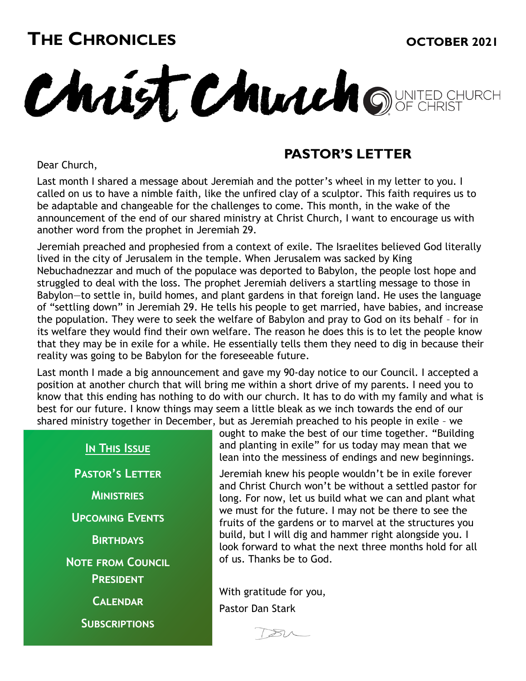## **THE CHRONICLES OCTOBER 2021**

Christ Church OWNTED CHURCH

Dear Church,

#### **PASTOR'S LETTER**

Last month I shared a message about Jeremiah and the potter's wheel in my letter to you. I called on us to have a nimble faith, like the unfired clay of a sculptor. This faith requires us to be adaptable and changeable for the challenges to come. This month, in the wake of the announcement of the end of our shared ministry at Christ Church, I want to encourage us with another word from the prophet in Jeremiah 29.

Jeremiah preached and prophesied from a context of exile. The Israelites believed God literally lived in the city of Jerusalem in the temple. When Jerusalem was sacked by King Nebuchadnezzar and much of the populace was deported to Babylon, the people lost hope and struggled to deal with the loss. The prophet Jeremiah delivers a startling message to those in Babylon—to settle in, build homes, and plant gardens in that foreign land. He uses the language of "settling down" in Jeremiah 29. He tells his people to get married, have babies, and increase the population. They were to seek the welfare of Babylon and pray to God on its behalf – for in its welfare they would find their own welfare. The reason he does this is to let the people know that they may be in exile for a while. He essentially tells them they need to dig in because their reality was going to be Babylon for the foreseeable future.

Last month I made a big announcement and gave my 90-day notice to our Council. I accepted a position at another church that will bring me within a short drive of my parents. I need you to know that this ending has nothing to do with our church. It has to do with my family and what is best for our future. I know things may seem a little bleak as we inch towards the end of our shared ministry together in December, but as Jeremiah preached to his people in exile – we

#### **In This Issue**

**Pastor's Letter Ministries Upcoming Events Birthdays Note from Council President Calendar Subscriptions**

ought to make the best of our time together. "Building and planting in exile" for us today may mean that we lean into the messiness of endings and new beginnings.

Jeremiah knew his people wouldn't be in exile forever and Christ Church won't be without a settled pastor for long. For now, let us build what we can and plant what we must for the future. I may not be there to see the fruits of the gardens or to marvel at the structures you build, but I will dig and hammer right alongside you. I look forward to what the next three months hold for all of us. Thanks be to God.

With gratitude for you, Pastor Dan Stark

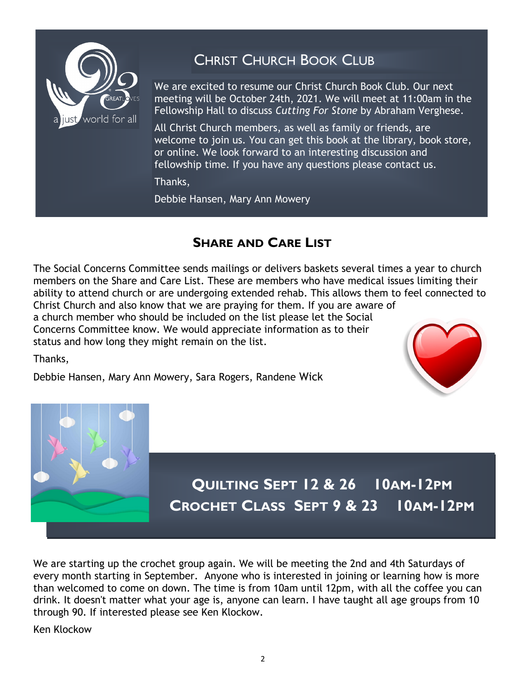

## CHRIST CHURCH BOOK CLUB

We are excited to resume our Christ Church Book Club. Our next meeting will be October 24th, 2021. We will meet at 11:00am in the Fellowship Hall to discuss *Cutting For Stone* by Abraham Verghese.

All Christ Church members, as well as family or friends, are welcome to join us. You can get this book at the library, book store, or online. We look forward to an interesting discussion and fellowship time. If you have any questions please contact us.

Thanks,

Debbie Hansen, Mary Ann Mowery

#### **SHARE AND CARE LIST**

The Social Concerns Committee sends mailings or delivers baskets several times a year to church members on the Share and Care List. These are members who have medical issues limiting their ability to attend church or are undergoing extended rehab. This allows them to feel connected to Christ Church and also know that we are praying for them. If you are aware of a church member who should be included on the list please let the Social

Concerns Committee know. We would appreciate information as to their status and how long they might remain on the list.

Thanks,

Debbie Hansen, Mary Ann Mowery, Sara Rogers, Randene Wick





We are starting up the crochet group again. We will be meeting the 2nd and 4th Saturdays of every month starting in September. Anyone who is interested in joining or learning how is more than welcomed to come on down. The time is from 10am until 12pm, with all the coffee you can drink. It doesn't matter what your age is, anyone can learn. I have taught all age groups from 10 through 90. If interested please see Ken Klockow.

Ken Klockow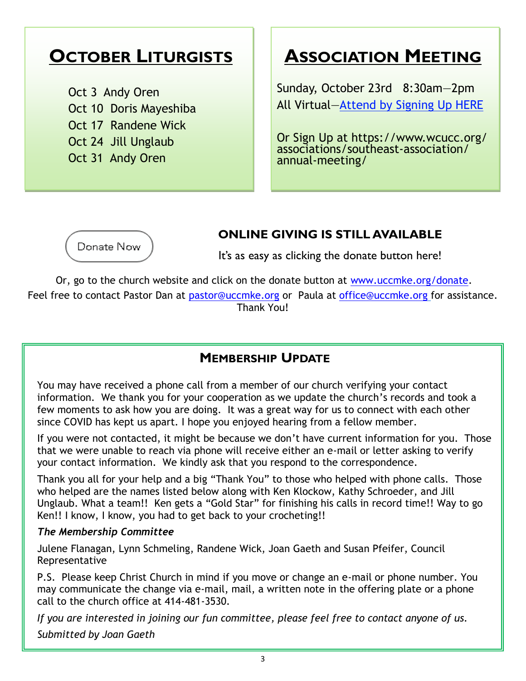## **OCTOBER LITURGISTS**

Oct 3 Andy Oren Oct 10 Doris Mayeshiba Oct 17 Randene Wick Oct 24 Jill Unglaub Oct 31 Andy Oren

## **ASSOCIATION MEETING**

Sunday, October 23rd 8:30am—2pm All Virtual[—Attend by Signing Up HERE](https://www.wcucc.org/associations/southeast-association/annual-meeting/)

Or Sign Up at https://www.wcucc.org/ associations/southeast-association/ annual-meeting/



#### **ONLINE GIVING IS STILL AVAILABLE**

It's as easy as clicking the donate button here!

Or, go to the church website and click on the donate button at [www.uccmke.org/donate.](https://www.uccmke.org/donate)  Feel free to contact [Pastor Dan](mailto:dan_stark@att.net) at [pastor@uccmke.org](mailto:pastor@uccmke.org) or Paula at [office@uccmke.org](mailto:office@uccmke.org) for assistance. Thank You!

#### **MEMBERSHIP UPDATE**

You may have received a phone call from a member of our church verifying your contact information. We thank you for your cooperation as we update the church's records and took a few moments to ask how you are doing. It was a great way for us to connect with each other since COVID has kept us apart. I hope you enjoyed hearing from a fellow member.

If you were not contacted, it might be because we don't have current information for you. Those that we were unable to reach via phone will receive either an e-mail or letter asking to verify your contact information. We kindly ask that you respond to the correspondence.

Thank you all for your help and a big "Thank You" to those who helped with phone calls. Those who helped are the names listed below along with Ken Klockow, Kathy Schroeder, and Jill Unglaub. What a team!! Ken gets a "Gold Star" for finishing his calls in record time!! Way to go Ken!! I know, I know, you had to get back to your crocheting!!

#### *The Membership Committee*

Julene Flanagan, Lynn Schmeling, Randene Wick, Joan Gaeth and Susan Pfeifer, Council Representative

P.S. Please keep Christ Church in mind if you move or change an e-mail or phone number. You may communicate the change via e-mail, mail, a written note in the offering plate or a phone call to the church office at 414-481-3530.

*If you are interested in joining our fun committee, please feel free to contact anyone of us. Submitted by Joan Gaeth*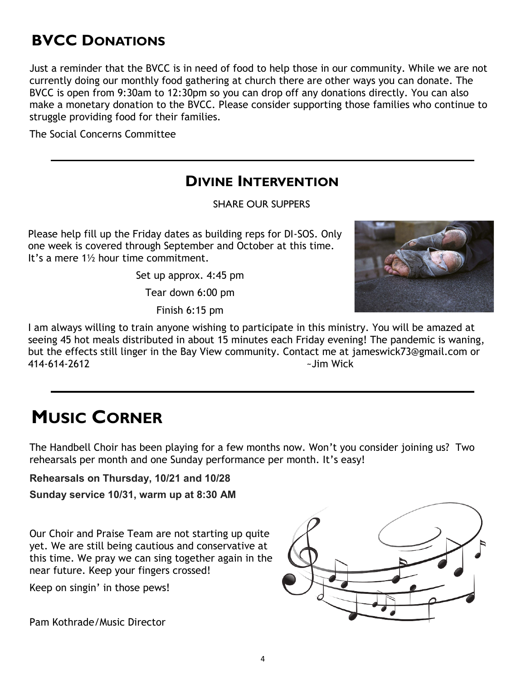## **BVCC DONATIONS**

Just a reminder that the BVCC is in need of food to help those in our community. While we are not currently doing our monthly food gathering at church there are other ways you can donate. The BVCC is open from 9:30am to 12:30pm so you can drop off any donations directly. You can also make a monetary donation to the BVCC. Please consider supporting those families who continue to struggle providing food for their families.

The Social Concerns Committee

#### **DIVINE INTERVENTION**

SHARE OUR SUPPERS

Please help fill up the Friday dates as building reps for DI-SOS. Only one week is covered through September and October at this time. It's a mere 1½ hour time commitment.

Set up approx. 4:45 pm

Tear down 6:00 pm

Finish 6:15 pm



I am always willing to train anyone wishing to participate in this ministry. You will be amazed at seeing 45 hot meals distributed in about 15 minutes each Friday evening! The pandemic is waning, but the effects still linger in the Bay View community. Contact me at jameswick73@gmail.com or 414-614-2612 ~Jim Wick

## **MUSIC CORNER**

The Handbell Choir has been playing for a few months now. Won't you consider joining us? Two rehearsals per month and one Sunday performance per month. It's easy!

**Rehearsals on Thursday, 10/21 and 10/28**

**Sunday service 10/31, warm up at 8:30 AM**

Our Choir and Praise Team are not starting up quite yet. We are still being cautious and conservative at this time. We pray we can sing together again in the near future. Keep your fingers crossed!

Keep on singin' in those pews!

Pam Kothrade/Music Director

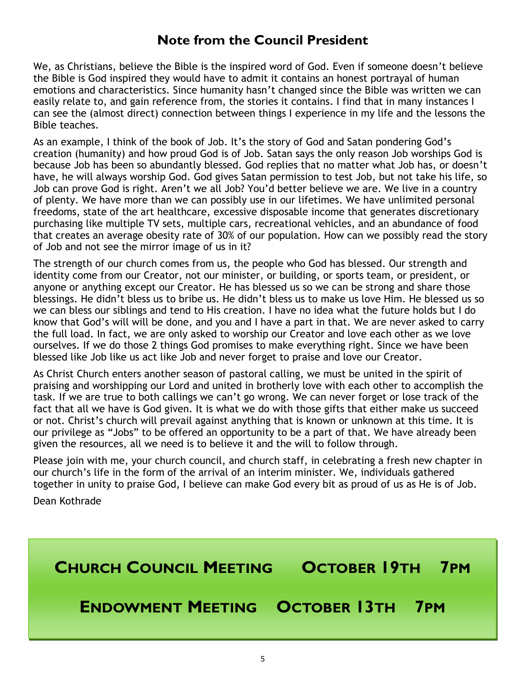#### **Note from the Council President**

We, as Christians, believe the Bible is the inspired word of God. Even if someone doesn't believe the Bible is God inspired they would have to admit it contains an honest portrayal of human emotions and characteristics. Since humanity hasn't changed since the Bible was written we can easily relate to, and gain reference from, the stories it contains. I find that in many instances I can see the (almost direct) connection between things I experience in my life and the lessons the Bible teaches.

As an example, I think of the book of Job. It's the story of God and Satan pondering God's creation (humanity) and how proud God is of Job. Satan says the only reason Job worships God is because Job has been so abundantly blessed. God replies that no matter what Job has, or doesn't have, he will always worship God. God gives Satan permission to test Job, but not take his life, so Job can prove God is right. Aren't we all Job? You'd better believe we are. We live in a country of plenty. We have more than we can possibly use in our lifetimes. We have unlimited personal freedoms, state of the art healthcare, excessive disposable income that generates discretionary purchasing like multiple TV sets, multiple cars, recreational vehicles, and an abundance of food that creates an average obesity rate of 30% of our population. How can we possibly read the story of Job and not see the mirror image of us in it?

The strength of our church comes from us, the people who God has blessed. Our strength and identity come from our Creator, not our minister, or building, or sports team, or president, or anyone or anything except our Creator. He has blessed us so we can be strong and share those blessings. He didn't bless us to bribe us. He didn't bless us to make us love Him. He blessed us so we can bless our siblings and tend to His creation. I have no idea what the future holds but I do know that God's will will be done, and you and I have a part in that. We are never asked to carry the full load. In fact, we are only asked to worship our Creator and love each other as we love ourselves. If we do those 2 things God promises to make everything right. Since we have been blessed like Job like us act like Job and never forget to praise and love our Creator.

As Christ Church enters another season of pastoral calling, we must be united in the spirit of praising and worshipping our Lord and united in brotherly love with each other to accomplish the task. If we are true to both callings we can't go wrong. We can never forget or lose track of the fact that all we have is God given. It is what we do with those gifts that either make us succeed or not. Christ's church will prevail against anything that is known or unknown at this time. It is our privilege as "Jobs" to be offered an opportunity to be a part of that. We have already been given the resources, all we need is to believe it and the will to follow through.

Please join with me, your church council, and church staff, in celebrating a fresh new chapter in our church's life in the form of the arrival of an interim minister. We, individuals gathered together in unity to praise God, I believe can make God every bit as proud of us as He is of Job.

Dean Kothrade

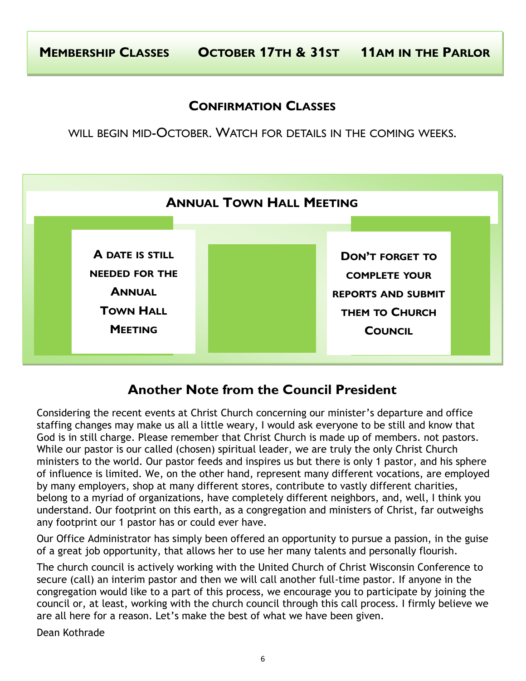#### **CONFIRMATION CLASSES**

WILL BEGIN MID-OCTOBER. WATCH FOR DETAILS IN THE COMING WEEKS.



#### **Another Note from the Council President**

Considering the recent events at Christ Church concerning our minister's departure and office staffing changes may make us all a little weary, I would ask everyone to be still and know that God is in still charge. Please remember that Christ Church is made up of members. not pastors. While our pastor is our called (chosen) spiritual leader, we are truly the only Christ Church ministers to the world. Our pastor feeds and inspires us but there is only 1 pastor, and his sphere of influence is limited. We, on the other hand, represent many different vocations, are employed by many employers, shop at many different stores, contribute to vastly different charities, belong to a myriad of organizations, have completely different neighbors, and, well, I think you understand. Our footprint on this earth, as a congregation and ministers of Christ, far outweighs any footprint our 1 pastor has or could ever have.

Our Office Administrator has simply been offered an opportunity to pursue a passion, in the guise of a great job opportunity, that allows her to use her many talents and personally flourish.

The church council is actively working with the United Church of Christ Wisconsin Conference to secure (call) an interim pastor and then we will call another full-time pastor. If anyone in the congregation would like to a part of this process, we encourage you to participate by joining the council or, at least, working with the church council through this call process. I firmly believe we are all here for a reason. Let's make the best of what we have been given.

Dean Kothrade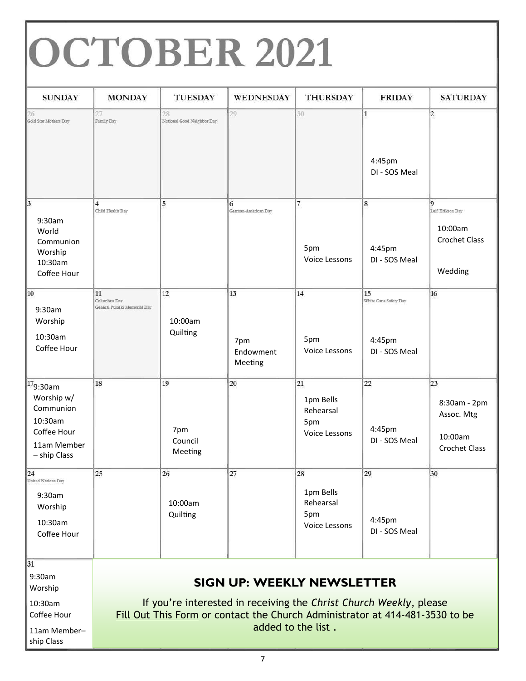# OCTOBER 2021

| <b>SUNDAY</b>                                                                                   | <b>MONDAY</b>                                      | <b>TUESDAY</b>                   | WEDNESDAY                                                                                                                                                                               | <b>THURSDAY</b>                                      | <b>FRIDAY</b>                                          | <b>SATURDAY</b>                                                      |
|-------------------------------------------------------------------------------------------------|----------------------------------------------------|----------------------------------|-----------------------------------------------------------------------------------------------------------------------------------------------------------------------------------------|------------------------------------------------------|--------------------------------------------------------|----------------------------------------------------------------------|
| 26<br>Gold Star Mothers Day                                                                     | 27<br>Family Day                                   | 28<br>National Good Neighbor Day | 29                                                                                                                                                                                      | 30                                                   | $\mathbf{1}$<br>4:45pm<br>DI - SOS Meal                | $\overline{2}$                                                       |
| $\vert$ 3<br>9:30am<br>World<br>Communion<br>Worship<br>10:30am<br>Coffee Hour                  | $\overline{\mathbf{4}}$<br>Child Health Day        | 5                                | 6<br>German-American Day                                                                                                                                                                | $\overline{7}$<br>5pm<br>Voice Lessons               | 8<br>4:45pm<br>DI - SOS Meal                           | ¦Q<br>Leif Erikson Day<br>10:00am<br><b>Crochet Class</b><br>Wedding |
| $\overline{10}$<br>9:30am<br>Worship<br>10:30am<br>Coffee Hour                                  | 11<br>Columbus Day<br>General Pulaski Memorial Day | 12<br>10:00am<br>Quilting        | 13<br>7pm<br>Endowment<br>Meeting                                                                                                                                                       | 14<br>5pm<br>Voice Lessons                           | 15<br>White Cane Safety Day<br>4:45pm<br>DI - SOS Meal | 16                                                                   |
| $179:30$ am<br>Worship w/<br>Communion<br>10:30am<br>Coffee Hour<br>11am Member<br>- ship Class | 18                                                 | 19<br>7pm<br>Council<br>Meeting  | 20                                                                                                                                                                                      | 21<br>1pm Bells<br>Rehearsal<br>5pm<br>Voice Lessons | 22<br>4:45pm<br>DI - SOS Meal                          | 23<br>8:30am - 2pm<br>Assoc. Mtg<br>10:00am<br><b>Crochet Class</b>  |
| $24$<br>United Nations Day<br>9:30am<br>Worship<br>10:30am<br>Coffee Hour                       | 25                                                 | 26<br>10:00am<br>Quilting        | 27                                                                                                                                                                                      | 28<br>1pm Bells<br>Rehearsal<br>5pm<br>Voice Lessons | 29<br>4:45pm<br>DI - SOS Meal                          | 30                                                                   |
| 31<br>9:30am<br>Worship<br>10:30am<br>Coffee Hour<br>11am Member-<br>ship Class                 |                                                    |                                  | <b>SIGN UP: WEEKLY NEWSLETTER</b><br>If you're interested in receiving the Christ Church Weekly, please<br>Fill Out This Form or contact the Church Administrator at 414-481-3530 to be | added to the list.                                   |                                                        |                                                                      |